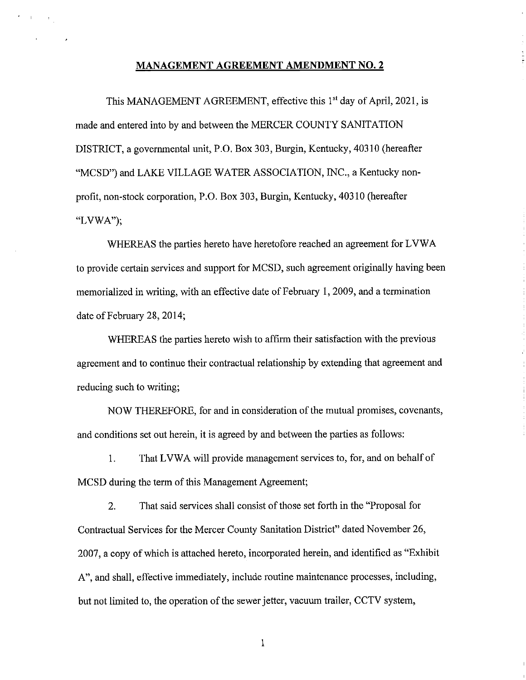#### **MANAGEMENT AGREEMENT AMENDMENT NO. 2**

 $\epsilon = \kappa_{\rm{max}}$ 

This MANAGEMENT AGREEMENT, effective this 1<sup>st</sup> day of April, 2021, is made and entered into by and between the MERCER COUNTY SANITATION DISTRICT, a governmental unit, P.O. Box 303, Burgin, Kentucky, 40310 (hereafter "MCSD") and LAKE VILLAGE WATER ASSOCIATION, INC., a Kentucky nonprofit, non-stock corporation, P.O. Box 303, Burgin, Kentucky, 40310 (hereafter "LVWA");

WHEREAS the parties hereto have heretofore reached an agreement for LVWA to provide certain services and support for MCSD, such agreement originally having been memorialized in writing, with an effective date of February I, 2009, and a termination date of February 28, 2014;

WHEREAS the parties hereto wish to affirm their satisfaction with the previous agreement and to continue their contractual relationship by extending that agreement and reducing such to writing;

NOW THEREFORE, for and in consideration of the mutual promises, covenants, and conditions set out herein, it is agreed by and between the parties as follows:

1. That LVWA will provide management services to, for, and on behalf of MCSD during the term of this Management Agreement;

2. That said services shall consist of those set forth in the "Proposal for Contractual Services for the Mercer County Sanitation District" dated November 26, 2007, a copy of which is attached hereto, incorporated herein, and identified as "Exhibit A", and shall, effective immediately, include routine maintenance processes, including, but not limited to, the operation of the sewer jetter, vacuum trailer, CCTV system,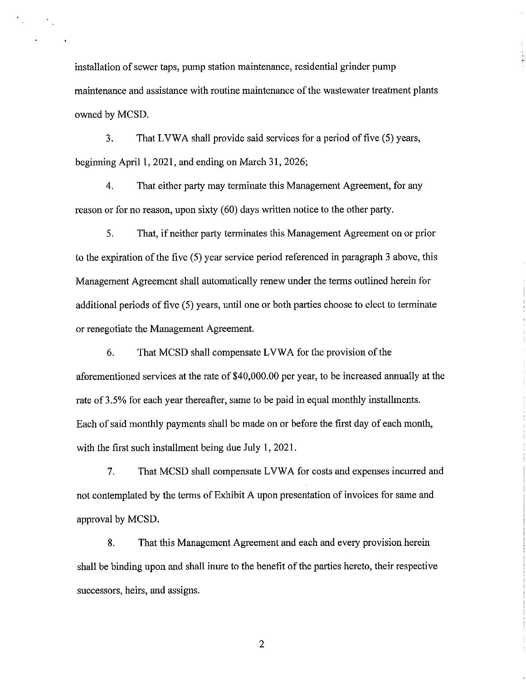installation of sewer taps, pump station maintenance, residential grinder pump maintenance and assistance with routine maintenance of the wastewater treatment plants owned by MCSD.

 $\sim 20\%$ 

3. That LVWA shall provide said services for a period of five (5) years, beginning April 1, 2021, and ending on March 31, 2026;

4. That either party may terminate this Management Agreement, for any reason or for no reason, upon sixty (60) days written notice to the other party.

5. That, if neither party terminates this Management Agreement on or prior to the expiration of the five (5) year service period referenced in paragraph 3 above, this Management Agreement shall automatically renew under the terms outlined herein for additional periods of five (5) years, until one or both parties choose to elect to terminate or renegotiate the Management Agreement.

6. That MCSD shall compensate L VW A for the provision of the aforementioned services at the rate of \$40,000.00 per year, to be increased annually at the rate of 3.5% for each year thereafter, same to be paid in equal monthly installments. Each of said monthly payments shall be made on or before the first day of each month, with the first such installment being due July 1, 2021.

7. That MCSD shall compensate L VWA for costs and expenses incurred and not contemplated by the terms of Exhibit A upon presentation of invoices for same and approval by MCSD.

8. That this Management Agreement and each and every provision herein shall be binding upon and shall inure to the benefit of the parties hereto, their respective successors, heirs, and assigns.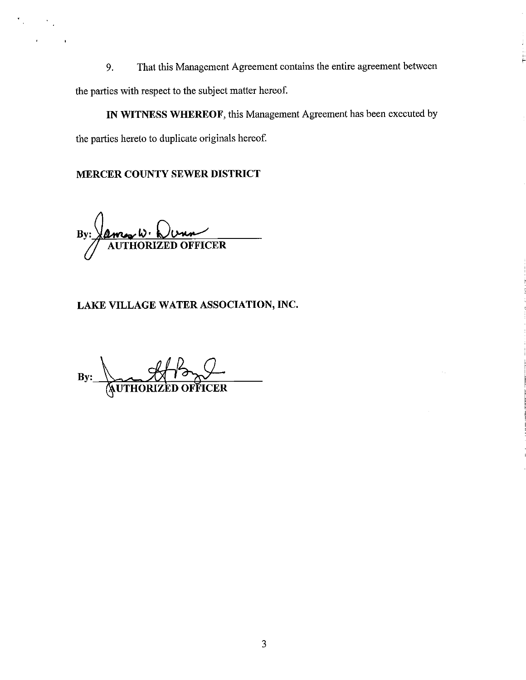9. That this Management Agreement contains the entire agreement between the parties with respect to the subject matter hereof.

**IN WITNESS WHEREOF,** this Management Agreement has been executed by the parties hereto to duplicate originals hereof.

# **MERCER COUNTY SEWER DISTRICT**

 $\frac{A_{\text{max}}}{\text{AUTHORIZED OFFICER}}$ 

# **LAKE VILLAGE WATER ASSOCIATION, INC.**

By: WITHORIZED OFFICER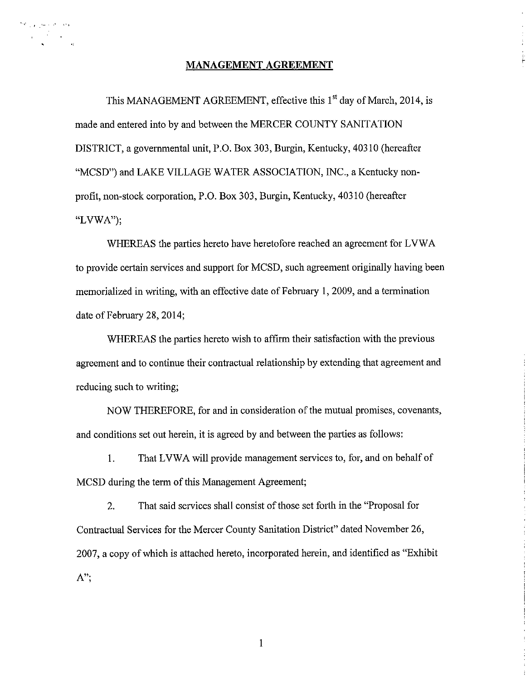### **MANAGEMENT AGREEMENT**

المحاسبين والمحافظ 

> This MANAGEMENT AGREEMENT, effective this 1<sup>st</sup> day of March, 2014, is made and entered into by and between the MERCER COUNTY SANITATION DISTRICT, a governmental unit, P.O. Box 303, Burgin, Kentucky, 40310 (hereafter "MCSD") and LAKE VILLAGE WATER ASSOCIATION, INC., a Kentucky nonprofit, non-stock corporation, P.O. Box 303, Burgin, Kentucky, 40310 (hereafter "LVWA");

WHEREAS the parties hereto have heretofore reached an agreement for LVWA to provide certain services and support for MCSD, such agreement originally having been memorialized in writing, with an effective date of February 1, 2009, and a termination date of February 28, 2014;

WHEREAS the parties hereto wish to affirm their satisfaction with the previous agreement and to continue their contractual relationship by extending that agreement and reducing such to writing;

NOW THEREFORE, for and in consideration of the mutual promises, covenants, and conditions set out herein, it is agreed by and between the parties as follows:

1. That LVWA will provide management services to, for, and on behalf of MCSD during the term of this Management Agreement;

2. That said services shall consist of those set forth in the "Proposal for Contractual Services for the Mercer County Sanitation District" dated November 26, 2007, a copy of which is attached hereto, incorporated herein, and identified as "Exhibit **A";** 

I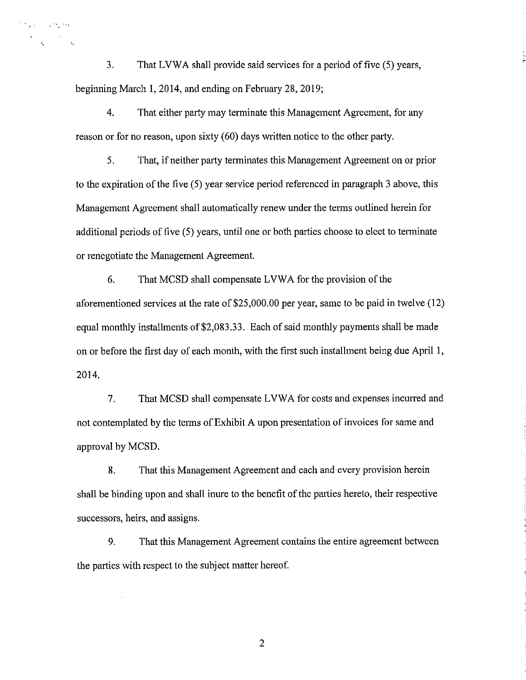3. That LVWA shall provide said services for a period of five (5) years, beginning March 1, 2014, and ending on February 28, 2019;

Estimate Constitution

r

4. That either party may terminate this Management Agreement, for any reason or for no reason, upon sixty (60) days written notice to the other party.

5. That, if neither party terminates this Management Agreement on or prior to the expiration of the five (5) year service period referenced in paragraph 3 above, this Management Agreement shall automatically renew under the terms outlined herein for additional periods of five (5) years, until one or both parties choose to elect to terminate or renegotiate the Management Agreement.

6. That MCSD shall compensate LVWA for the provision of the aforementioned services at the rate of \$25,000.00 per year, same to be paid in twelve (12) equal monthly installments of \$2,083.33. Each of said monthly payments shall be made on or before the first day of each month, with the first such installment being due April 1, 2014.

7. That MCSD shall compensate LVWA for costs and expenses incurred and not contemplated by the terms of Exhibit A upon presentation of invoices for same and approval by MCSD.

8. That this Management Agreement and each and every provision herein shall be binding upon and shall inure to the benefit of the parties hereto, their respective successors, heirs, and assigns.

9. That this Management Agreement contains the entire agreement between the parties with respect to the subject matter hereof.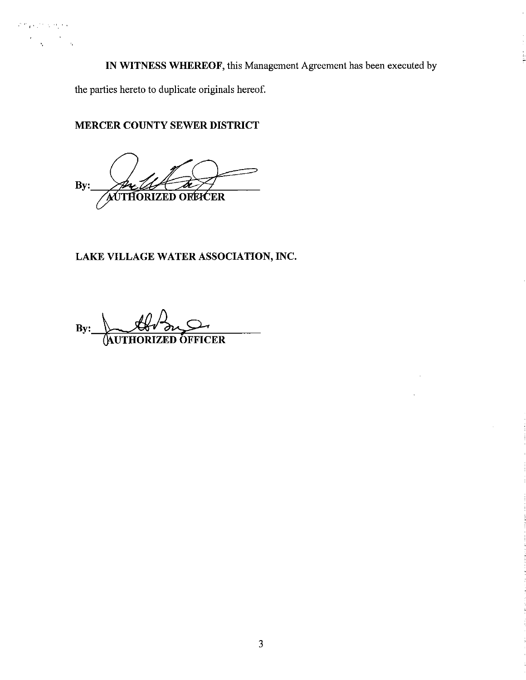**IN WITNESS WHEREOF,** this Management Agreement has been executed by

the parties hereto to duplicate originals hereof.

"I.

 $\hat{\mathbf{r}}$ 

**MERCER COUNTY SEWER DISTRICT** 

**By:**  AUTHORIZED OREICER

# **LAKE VILLAGE WATER ASSOCIATION, INC.**

By: **Web** By: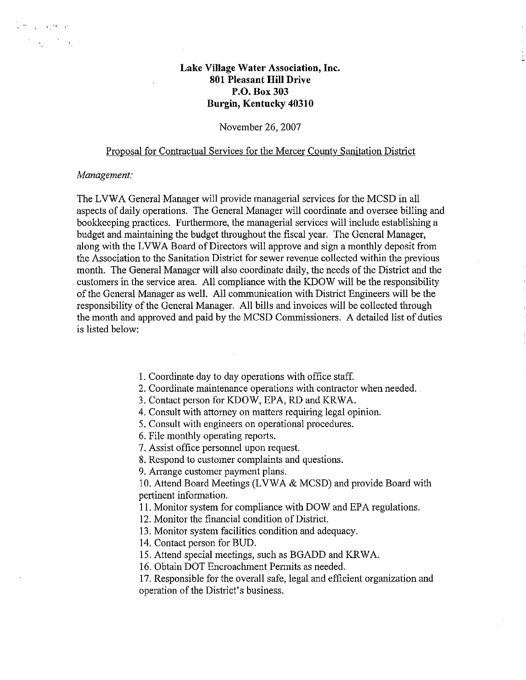# **Lake Village Water Association, Inc. 801 Pleasant Hill Drive P.O. Box303 Burgin, Kentucky 40310**

### November 26, 2007

## Proposal for Contractual Services for the Mercer County Sanitation District

#### *Management:*

and the property of the  $\mathcal{F}^{\mathcal{A}}_{\mathcal{A}}(\mathcal{A})$ 

> The LVWA General Manager will provide managerial services for the MCSD in all aspects of daily operations. The General Manager will coordinate and oversee billing and bookkeeping practices. Furthermore, the managerial services will include establishing a budget and maintaining the budget throughout the fiscal year. The General Manager, along with the LVWA Board of Directors will approve and sign a monthly deposit from the Association to the Sanitation District for sewer revenue collected within the previous month. The General Manager will also coordinate daily, the needs of the District and the customers in the service area. All compliance with the KDOW will be the responsibility of the General Manager as well. All communication with District Engineers will be the responsibility of the General Manager. All bills and invoices will be collected through the month and approved and paid by the MCSD Commissioners. A detailed list of duties is listed below:

- 1. Coordinate day to day operations with office staff.
- 2. Coordinate maintenance operations with contractor when needed.
- 3. Contact person for KDOW, EPA, RD and KRWA.
- 4. Consult with attorney on matters requiring legal opinion.
- 5. Consult with engineers on operational procedures.
- 6. File monthly operating reports.
- 7. Assist office personnel upon request.
- 8. Respond to customer complaints and questions.
- 9. Arrange customer payment plans.

10. Attend Board Meetings (LVWA & MCSD) and provide Board with pertinent information.

11. Monitor system for compliance with DOW and EPA regulations.

- 12. Monitor the financial condition of District.
- 13. Monitor system facilities condition and adequacy.
- 14. Contact person for BUD.
- 15. Attend special meetings, such as BGADD and KRWA.
- 16. Obtain DOT Encroachment Permits as needed.
- 17. Responsible for the overall safe, legal and efficient organization and operation of the District's business.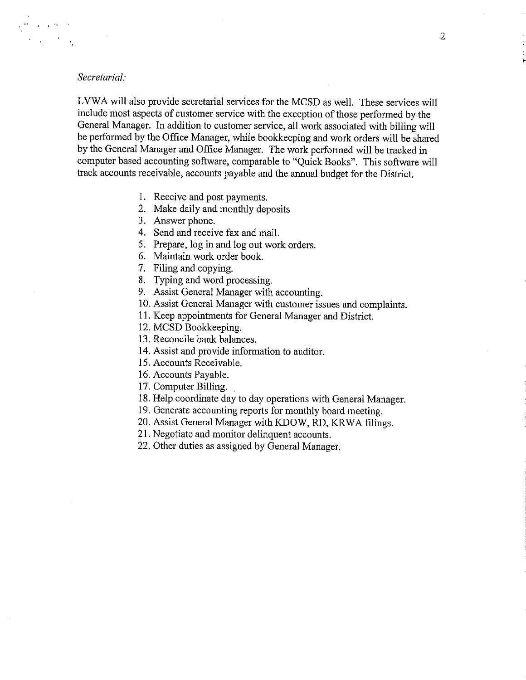### *Secretarial:*

LVWA will also provide secretarial services for the MCSD as well. These services will include most aspects of customer service with the exception of those performed by the General Manager. In addition to customer service, all work associated with billing will be performed by the Office Manager, while bookkeeping and work orders will be shared by the General Manager and Office Manager. The work performed will be tracked in computer based accounting software, comparable to "Quick Books". This software will track accounts receivable, accounts payable and the annual budget for the District.

- I. Receive and post payments.
- 2. Make daily and monthly deposits
- 3. Answer phone.
- 4. Send and receive fax and mail.
- 5. Prepare, log in and log out work orders.
- 6. Maintain work order book.
- 7. Filing and copying.
- 8. Typing and word processing.
- 9. Assist General Manager with accounting.
- 10. Assist General Manager with customer issues and complaints.
- 11. Keep appointments for General Manager and District.
- 12. MCSD Bookkeeping.
- 13. Reconcile bank balances.
- 14. Assist and provide information to auditor.
- 15. Accounts Receivable.
- 16. Accounts Payable.
- 17. Computer Billing.
- 18. Help coordinate day to day operations with General Manager.
- 19. Generate accounting reports for monthly board meeting.
- 20. Assist General Manager with KDOW, RD, KR WA filings.
- 21. Negotiate and monitor delinquent accounts.
- 22. Other duties as assigned by General Manager.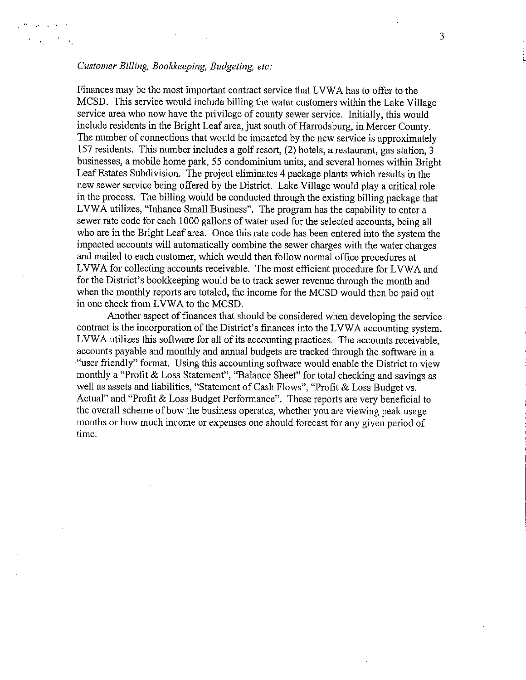# *Customer Billing, Bookkeeping, Budgeting, etc:*

Finances may be the most important contract service that LVWA has to offer to the MCSD. This service would include billing the water customers within the Lake Village service area who now have the privilege of county sewer service. Initially, this would include residents in the Bright Leaf area, just south of Harrodsburg, in Mercer County. The number of connections that would be impacted by the new service is approximately 157 residents. This number includes a golf resort, (2) hotels, a restaurant, gas station, 3 businesses, a mobile home park, 55 condominium units, and several homes within Bright Leaf Estates Subdivision. The project eliminates 4 package plants which results in the new sewer service being offered by the District. Lake Village would play a critical role in the process. The billing would be conducted through the existing billing package that LVWA utilizes, "Inhance Small Business". The program has the capability to enter a sewer rate code for each 1000 gallons of water used for the selected accounts, being all who are in the Bright Leaf area. Once this rate code has been entered into the system the impacted accounts will automatically combine the sewer charges with the water charges and mailed to each customer, which would then follow normal office procedures at LVWA for collecting accounts receivable. The most efficient procedure for LVWA and for the District's bookkeeping would be to track sewer revenue through the month and when the monthly reports are totaled, the income for the MCSD would then be paid out in one check from LVWA to the MCSD.

Another aspect of finances that should be considered when developing the service contract is the incorporation of the District's finances into the LVWA accounting system. LVWA utilizes this software for all of its accounting practices. The accounts receivable, accounts payable and monthly and annual budgets are tracked through the software in a ·"user friendly" format. Using this accounting software would enable the District to view monthly a "Profit & Loss Statement", "Balance Sheet" for total checking and savings as well as assets and liabilities, "Statement of Cash Flows", "Profit & Loss Budget vs. Actual" and "Profit & Loss Budget Performance". These reports are very beneficial to the overall scheme of how the business operates, whether you are viewing peak usage months or how much income or expenses one should forecast for any given period of time.